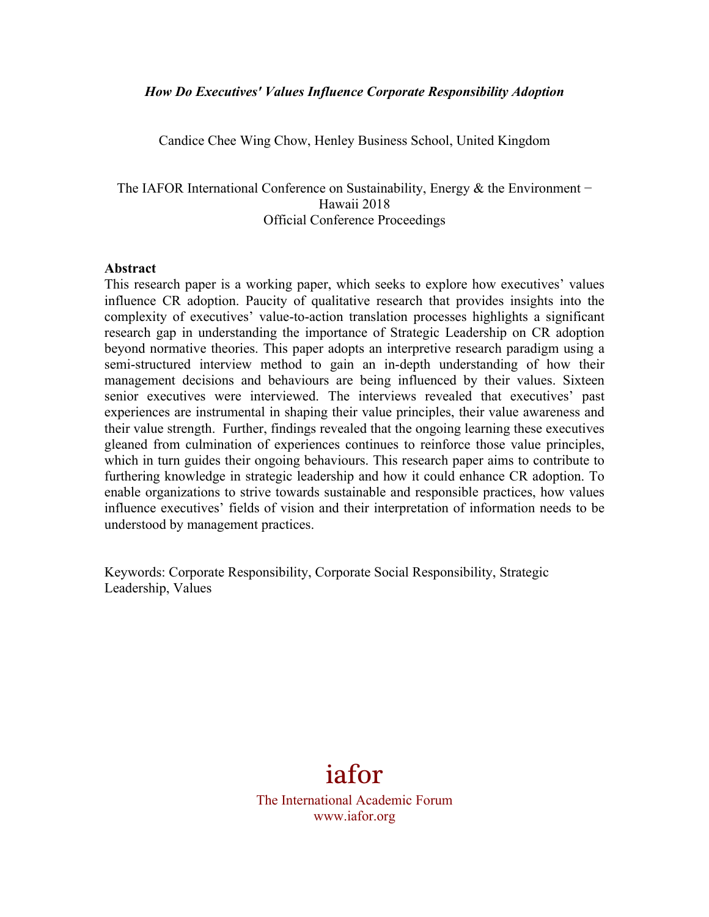#### *How Do Executives' Values Influence Corporate Responsibility Adoption*

Candice Chee Wing Chow, Henley Business School, United Kingdom

The IAFOR International Conference on Sustainability, Energy & the Environment – Hawaii 2018 Official Conference Proceedings

#### **Abstract**

This research paper is a working paper, which seeks to explore how executives' values influence CR adoption. Paucity of qualitative research that provides insights into the complexity of executives' value-to-action translation processes highlights a significant research gap in understanding the importance of Strategic Leadership on CR adoption beyond normative theories. This paper adopts an interpretive research paradigm using a semi-structured interview method to gain an in-depth understanding of how their management decisions and behaviours are being influenced by their values. Sixteen senior executives were interviewed. The interviews revealed that executives' past experiences are instrumental in shaping their value principles, their value awareness and their value strength. Further, findings revealed that the ongoing learning these executives gleaned from culmination of experiences continues to reinforce those value principles, which in turn guides their ongoing behaviours. This research paper aims to contribute to furthering knowledge in strategic leadership and how it could enhance CR adoption. To enable organizations to strive towards sustainable and responsible practices, how values influence executives' fields of vision and their interpretation of information needs to be understood by management practices.

Keywords: Corporate Responsibility, Corporate Social Responsibility, Strategic Leadership, Values



The International Academic Forum www.iafor.org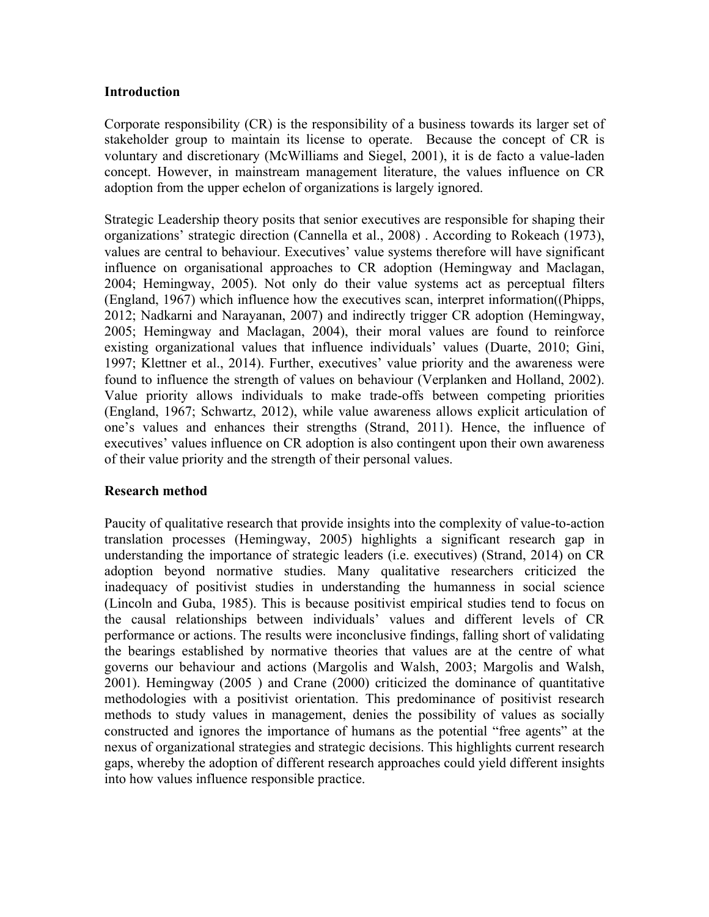### **Introduction**

Corporate responsibility (CR) is the responsibility of a business towards its larger set of stakeholder group to maintain its license to operate. Because the concept of CR is voluntary and discretionary (McWilliams and Siegel, 2001), it is de facto a value-laden concept. However, in mainstream management literature, the values influence on CR adoption from the upper echelon of organizations is largely ignored.

Strategic Leadership theory posits that senior executives are responsible for shaping their organizations' strategic direction (Cannella et al., 2008) . According to Rokeach (1973), values are central to behaviour. Executives' value systems therefore will have significant influence on organisational approaches to CR adoption (Hemingway and Maclagan, 2004; Hemingway, 2005). Not only do their value systems act as perceptual filters (England, 1967) which influence how the executives scan, interpret information((Phipps, 2012; Nadkarni and Narayanan, 2007) and indirectly trigger CR adoption (Hemingway, 2005; Hemingway and Maclagan, 2004), their moral values are found to reinforce existing organizational values that influence individuals' values (Duarte, 2010; Gini, 1997; Klettner et al., 2014). Further, executives' value priority and the awareness were found to influence the strength of values on behaviour (Verplanken and Holland, 2002). Value priority allows individuals to make trade-offs between competing priorities (England, 1967; Schwartz, 2012), while value awareness allows explicit articulation of one's values and enhances their strengths (Strand, 2011). Hence, the influence of executives' values influence on CR adoption is also contingent upon their own awareness of their value priority and the strength of their personal values.

# **Research method**

Paucity of qualitative research that provide insights into the complexity of value-to-action translation processes (Hemingway, 2005) highlights a significant research gap in understanding the importance of strategic leaders (i.e. executives) (Strand, 2014) on CR adoption beyond normative studies. Many qualitative researchers criticized the inadequacy of positivist studies in understanding the humanness in social science (Lincoln and Guba, 1985). This is because positivist empirical studies tend to focus on the causal relationships between individuals' values and different levels of CR performance or actions. The results were inconclusive findings, falling short of validating the bearings established by normative theories that values are at the centre of what governs our behaviour and actions (Margolis and Walsh, 2003; Margolis and Walsh, 2001). Hemingway (2005 ) and Crane (2000) criticized the dominance of quantitative methodologies with a positivist orientation. This predominance of positivist research methods to study values in management, denies the possibility of values as socially constructed and ignores the importance of humans as the potential "free agents" at the nexus of organizational strategies and strategic decisions. This highlights current research gaps, whereby the adoption of different research approaches could yield different insights into how values influence responsible practice.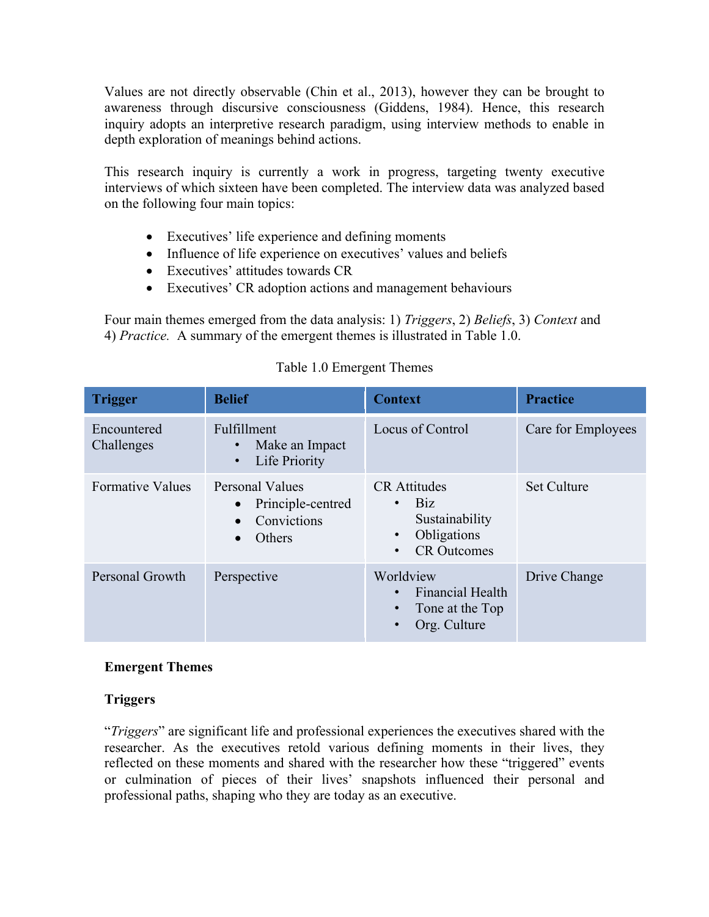Values are not directly observable (Chin et al., 2013), however they can be brought to awareness through discursive consciousness (Giddens, 1984). Hence, this research inquiry adopts an interpretive research paradigm, using interview methods to enable in depth exploration of meanings behind actions.

This research inquiry is currently a work in progress, targeting twenty executive interviews of which sixteen have been completed. The interview data was analyzed based on the following four main topics:

- Executives' life experience and defining moments
- Influence of life experience on executives' values and beliefs
- Executives' attitudes towards CR
- Executives' CR adoption actions and management behaviours

Four main themes emerged from the data analysis: 1) *Triggers*, 2) *Beliefs*, 3) *Context* and 4) *Practice.* A summary of the emergent themes is illustrated in Table 1.0.

| <b>Trigger</b>            | <b>Belief</b>                                                                           | <b>Context</b>                                                                                                                  | <b>Practice</b>    |
|---------------------------|-----------------------------------------------------------------------------------------|---------------------------------------------------------------------------------------------------------------------------------|--------------------|
| Encountered<br>Challenges | Fulfillment<br>Make an Impact<br>$\bullet$<br>Life Priority<br>$\bullet$                | Locus of Control                                                                                                                | Care for Employees |
| <b>Formative Values</b>   | Personal Values<br>Principle-centred<br>$\bullet$<br>Convictions<br>Others<br>$\bullet$ | <b>CR</b> Attitudes<br><b>Biz</b><br>$\bullet$<br>Sustainability<br>Obligations<br>$\bullet$<br><b>CR</b> Outcomes<br>$\bullet$ | <b>Set Culture</b> |
| Personal Growth           | Perspective                                                                             | Worldview<br><b>Financial Health</b><br>$\bullet$<br>Tone at the Top<br>$\bullet$<br>Org. Culture<br>$\bullet$                  | Drive Change       |

# Table 1.0 Emergent Themes

# **Emergent Themes**

# **Triggers**

"*Triggers*" are significant life and professional experiences the executives shared with the researcher. As the executives retold various defining moments in their lives, they reflected on these moments and shared with the researcher how these "triggered" events or culmination of pieces of their lives' snapshots influenced their personal and professional paths, shaping who they are today as an executive.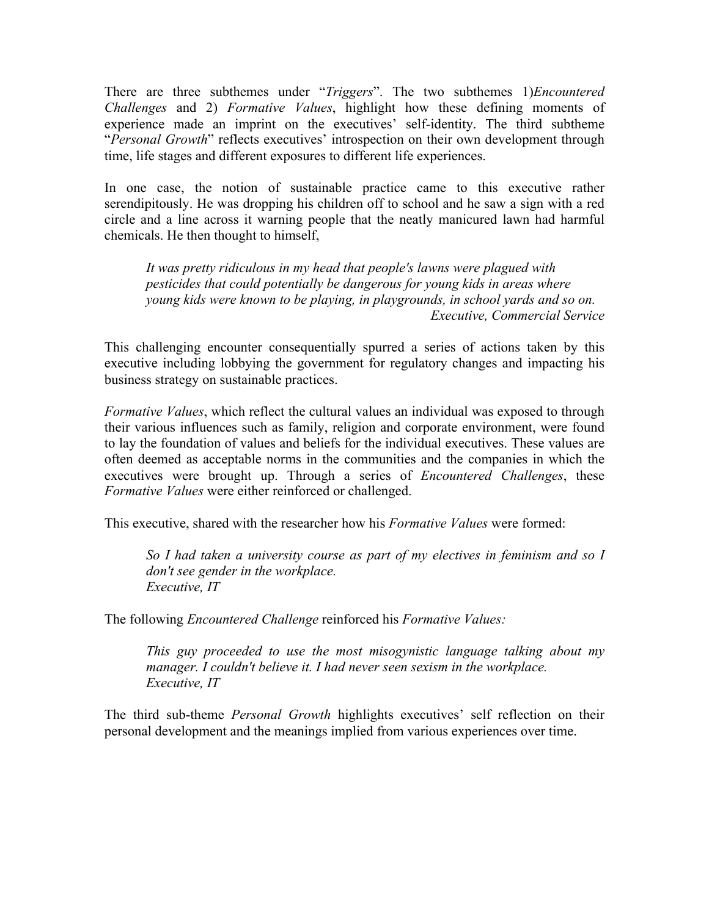There are three subthemes under "*Triggers*". The two subthemes 1)*Encountered Challenges* and 2) *Formative Values*, highlight how these defining moments of experience made an imprint on the executives' self-identity. The third subtheme "*Personal Growth*" reflects executives' introspection on their own development through time, life stages and different exposures to different life experiences.

In one case, the notion of sustainable practice came to this executive rather serendipitously. He was dropping his children off to school and he saw a sign with a red circle and a line across it warning people that the neatly manicured lawn had harmful chemicals. He then thought to himself,

*It was pretty ridiculous in my head that people's lawns were plagued with pesticides that could potentially be dangerous for young kids in areas where young kids were known to be playing, in playgrounds, in school yards and so on. Executive, Commercial Service*

This challenging encounter consequentially spurred a series of actions taken by this executive including lobbying the government for regulatory changes and impacting his business strategy on sustainable practices.

*Formative Values*, which reflect the cultural values an individual was exposed to through their various influences such as family, religion and corporate environment, were found to lay the foundation of values and beliefs for the individual executives. These values are often deemed as acceptable norms in the communities and the companies in which the executives were brought up. Through a series of *Encountered Challenges*, these *Formative Values* were either reinforced or challenged.

This executive, shared with the researcher how his *Formative Values* were formed:

*So I had taken a university course as part of my electives in feminism and so I don't see gender in the workplace. Executive, IT*

The following *Encountered Challenge* reinforced his *Formative Values:*

*This guy proceeded to use the most misogynistic language talking about my manager. I couldn't believe it. I had never seen sexism in the workplace. Executive, IT*

The third sub-theme *Personal Growth* highlights executives' self reflection on their personal development and the meanings implied from various experiences over time.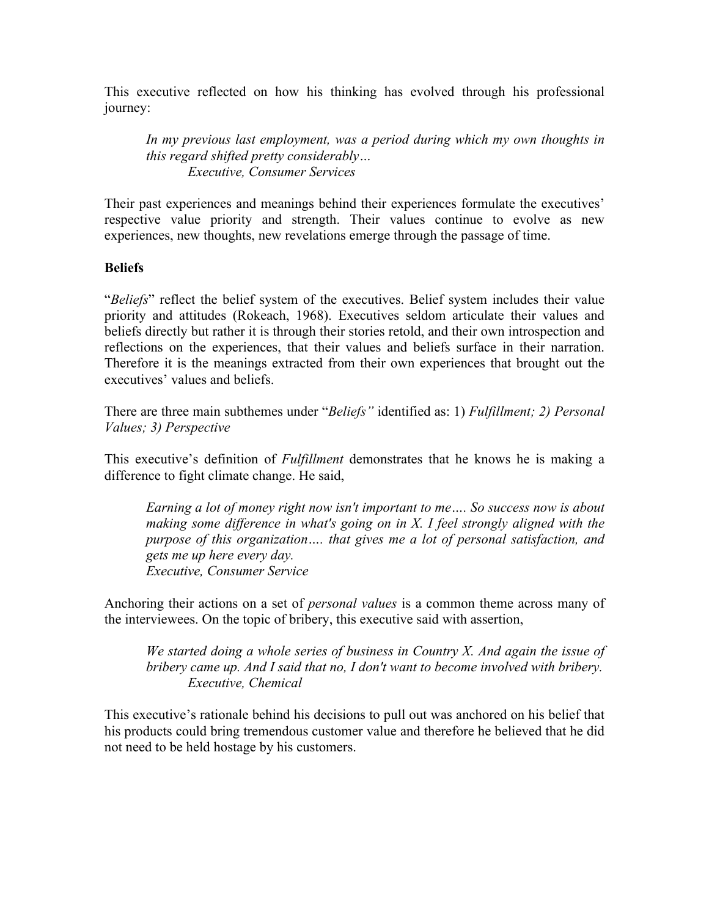This executive reflected on how his thinking has evolved through his professional journey:

*In my previous last employment, was a period during which my own thoughts in this regard shifted pretty considerably… Executive, Consumer Services*

Their past experiences and meanings behind their experiences formulate the executives' respective value priority and strength. Their values continue to evolve as new experiences, new thoughts, new revelations emerge through the passage of time.

# **Beliefs**

"*Beliefs*" reflect the belief system of the executives. Belief system includes their value priority and attitudes (Rokeach, 1968). Executives seldom articulate their values and beliefs directly but rather it is through their stories retold, and their own introspection and reflections on the experiences, that their values and beliefs surface in their narration. Therefore it is the meanings extracted from their own experiences that brought out the executives' values and beliefs.

There are three main subthemes under "*Beliefs"* identified as: 1) *Fulfillment; 2) Personal Values; 3) Perspective*

This executive's definition of *Fulfillment* demonstrates that he knows he is making a difference to fight climate change. He said,

*Earning a lot of money right now isn't important to me…. So success now is about making some difference in what's going on in X. I feel strongly aligned with the purpose of this organization…. that gives me a lot of personal satisfaction, and gets me up here every day. Executive, Consumer Service*

Anchoring their actions on a set of *personal values* is a common theme across many of the interviewees. On the topic of bribery, this executive said with assertion,

*We started doing a whole series of business in Country X. And again the issue of bribery came up. And I said that no, I don't want to become involved with bribery. Executive, Chemical* 

This executive's rationale behind his decisions to pull out was anchored on his belief that his products could bring tremendous customer value and therefore he believed that he did not need to be held hostage by his customers.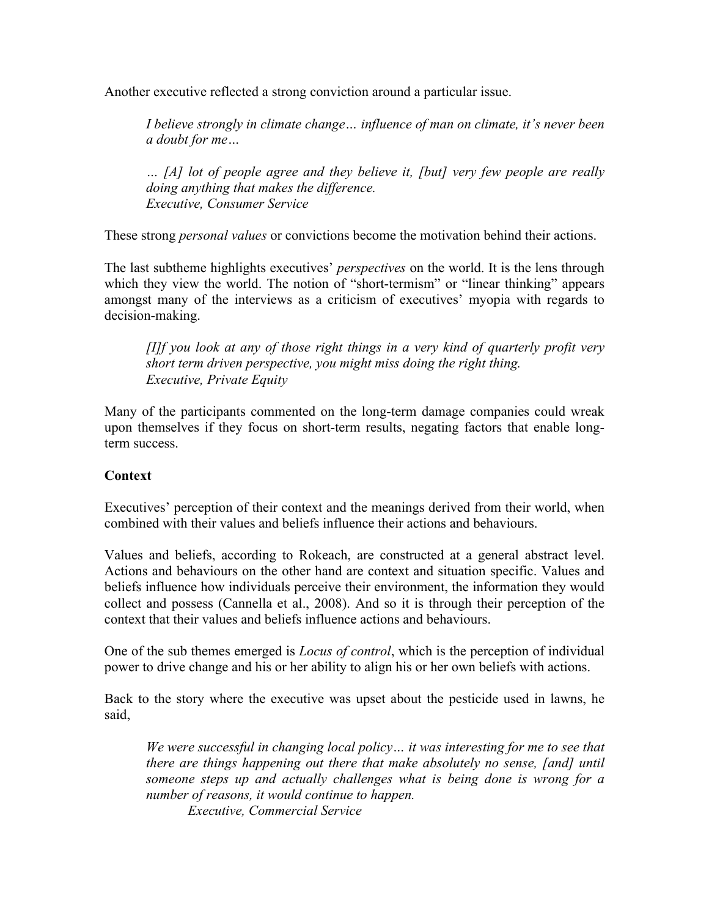Another executive reflected a strong conviction around a particular issue.

*I believe strongly in climate change… influence of man on climate, it's never been a doubt for me…*

*… [A] lot of people agree and they believe it, [but] very few people are really doing anything that makes the difference. Executive, Consumer Service*

These strong *personal values* or convictions become the motivation behind their actions.

The last subtheme highlights executives' *perspectives* on the world. It is the lens through which they view the world. The notion of "short-termism" or "linear thinking" appears amongst many of the interviews as a criticism of executives' myopia with regards to decision-making.

*[I]f you look at any of those right things in a very kind of quarterly profit very short term driven perspective, you might miss doing the right thing. Executive, Private Equity*

Many of the participants commented on the long-term damage companies could wreak upon themselves if they focus on short-term results, negating factors that enable longterm success.

# **Context**

Executives' perception of their context and the meanings derived from their world, when combined with their values and beliefs influence their actions and behaviours.

Values and beliefs, according to Rokeach, are constructed at a general abstract level. Actions and behaviours on the other hand are context and situation specific. Values and beliefs influence how individuals perceive their environment, the information they would collect and possess (Cannella et al., 2008). And so it is through their perception of the context that their values and beliefs influence actions and behaviours.

One of the sub themes emerged is *Locus of control*, which is the perception of individual power to drive change and his or her ability to align his or her own beliefs with actions.

Back to the story where the executive was upset about the pesticide used in lawns, he said,

*We were successful in changing local policy… it was interesting for me to see that there are things happening out there that make absolutely no sense, [and] until someone steps up and actually challenges what is being done is wrong for a number of reasons, it would continue to happen.* 

*Executive, Commercial Service*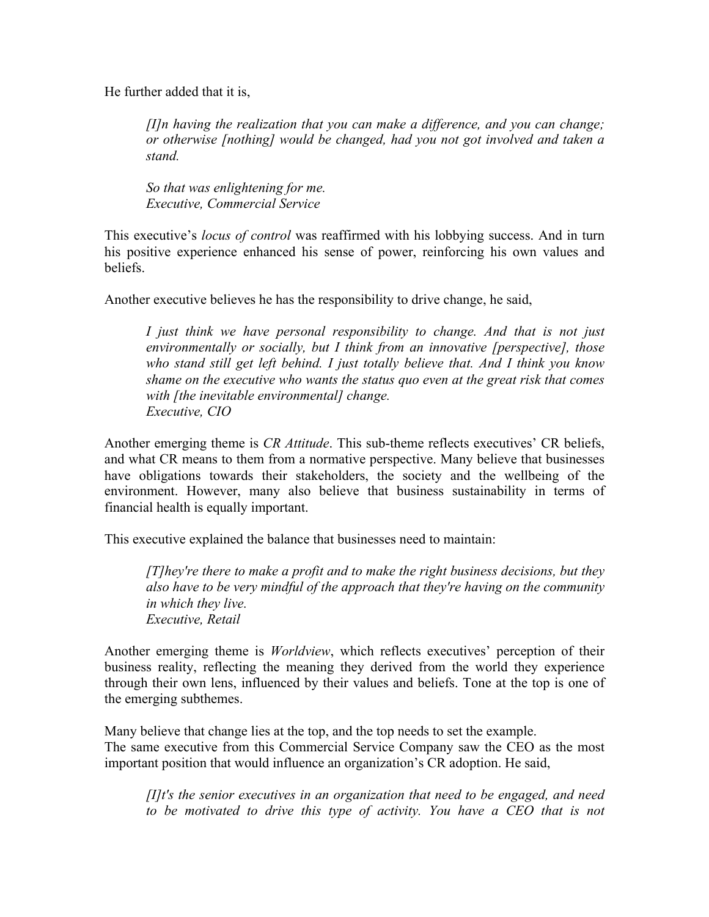He further added that it is,

*[I]n having the realization that you can make a difference, and you can change; or otherwise [nothing] would be changed, had you not got involved and taken a stand.* 

*So that was enlightening for me. Executive, Commercial Service*

This executive's *locus of control* was reaffirmed with his lobbying success. And in turn his positive experience enhanced his sense of power, reinforcing his own values and beliefs.

Another executive believes he has the responsibility to drive change, he said,

*I just think we have personal responsibility to change. And that is not just environmentally or socially, but I think from an innovative [perspective], those who stand still get left behind. I just totally believe that. And I think you know shame on the executive who wants the status quo even at the great risk that comes with [the inevitable environmental] change. Executive, CIO*

Another emerging theme is *CR Attitude*. This sub-theme reflects executives' CR beliefs, and what CR means to them from a normative perspective. Many believe that businesses have obligations towards their stakeholders, the society and the wellbeing of the environment. However, many also believe that business sustainability in terms of financial health is equally important.

This executive explained the balance that businesses need to maintain:

*[T]hey're there to make a profit and to make the right business decisions, but they also have to be very mindful of the approach that they're having on the community in which they live. Executive, Retail*

Another emerging theme is *Worldview*, which reflects executives' perception of their business reality, reflecting the meaning they derived from the world they experience through their own lens, influenced by their values and beliefs. Tone at the top is one of the emerging subthemes.

Many believe that change lies at the top, and the top needs to set the example. The same executive from this Commercial Service Company saw the CEO as the most important position that would influence an organization's CR adoption. He said,

*[I]t's the senior executives in an organization that need to be engaged, and need*  to be motivated to drive this type of activity. You have a CEO that is not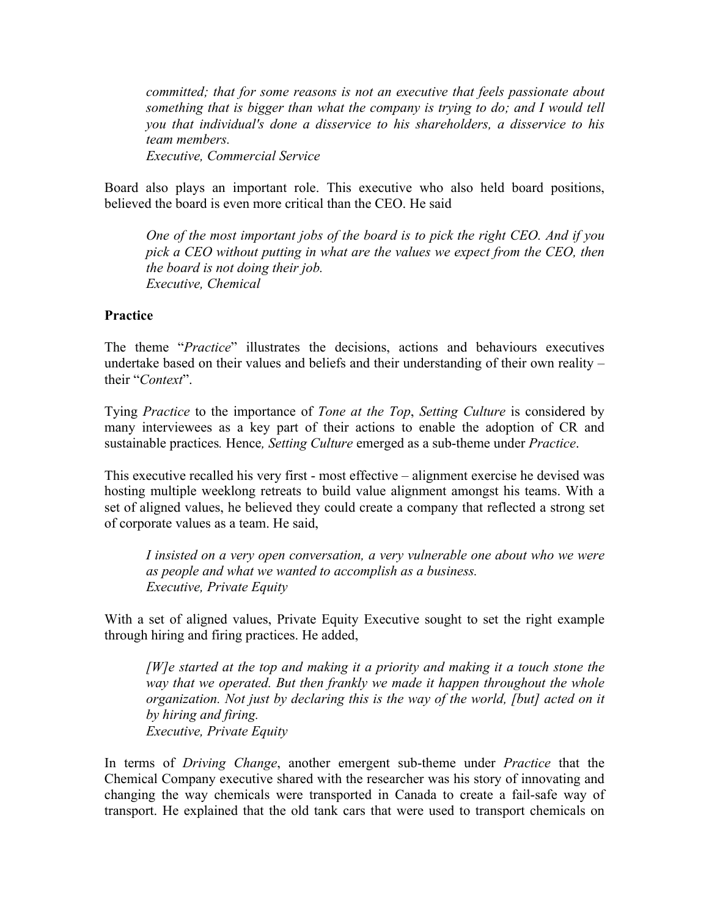*committed; that for some reasons is not an executive that feels passionate about something that is bigger than what the company is trying to do; and I would tell you that individual's done a disservice to his shareholders, a disservice to his team members. Executive, Commercial Service*

Board also plays an important role. This executive who also held board positions, believed the board is even more critical than the CEO. He said

*One of the most important jobs of the board is to pick the right CEO. And if you pick a CEO without putting in what are the values we expect from the CEO, then the board is not doing their job. Executive, Chemical* 

#### **Practice**

The theme "*Practice*" illustrates the decisions, actions and behaviours executives undertake based on their values and beliefs and their understanding of their own reality – their "*Context*".

Tying *Practice* to the importance of *Tone at the Top*, *Setting Culture* is considered by many interviewees as a key part of their actions to enable the adoption of CR and sustainable practices*.* Hence*, Setting Culture* emerged as a sub-theme under *Practice*.

This executive recalled his very first - most effective – alignment exercise he devised was hosting multiple weeklong retreats to build value alignment amongst his teams. With a set of aligned values, he believed they could create a company that reflected a strong set of corporate values as a team. He said,

*I insisted on a very open conversation, a very vulnerable one about who we were as people and what we wanted to accomplish as a business. Executive, Private Equity*

With a set of aligned values, Private Equity Executive sought to set the right example through hiring and firing practices. He added,

*[W]e started at the top and making it a priority and making it a touch stone the way that we operated. But then frankly we made it happen throughout the whole organization. Not just by declaring this is the way of the world, [but] acted on it by hiring and firing. Executive, Private Equity*

In terms of *Driving Change*, another emergent sub-theme under *Practice* that the Chemical Company executive shared with the researcher was his story of innovating and changing the way chemicals were transported in Canada to create a fail-safe way of transport. He explained that the old tank cars that were used to transport chemicals on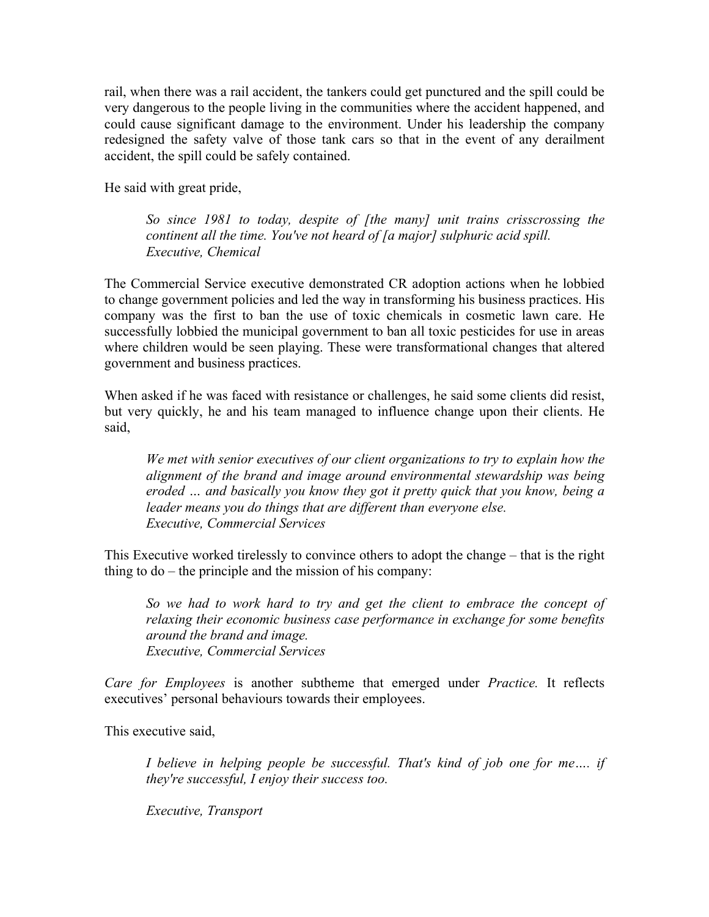rail, when there was a rail accident, the tankers could get punctured and the spill could be very dangerous to the people living in the communities where the accident happened, and could cause significant damage to the environment. Under his leadership the company redesigned the safety valve of those tank cars so that in the event of any derailment accident, the spill could be safely contained.

He said with great pride,

*So since 1981 to today, despite of [the many] unit trains crisscrossing the continent all the time. You've not heard of [a major] sulphuric acid spill. Executive, Chemical* 

The Commercial Service executive demonstrated CR adoption actions when he lobbied to change government policies and led the way in transforming his business practices. His company was the first to ban the use of toxic chemicals in cosmetic lawn care. He successfully lobbied the municipal government to ban all toxic pesticides for use in areas where children would be seen playing. These were transformational changes that altered government and business practices.

When asked if he was faced with resistance or challenges, he said some clients did resist, but very quickly, he and his team managed to influence change upon their clients. He said,

*We met with senior executives of our client organizations to try to explain how the alignment of the brand and image around environmental stewardship was being eroded … and basically you know they got it pretty quick that you know, being a leader means you do things that are different than everyone else. Executive, Commercial Services*

This Executive worked tirelessly to convince others to adopt the change – that is the right thing to do – the principle and the mission of his company:

*So we had to work hard to try and get the client to embrace the concept of relaxing their economic business case performance in exchange for some benefits around the brand and image. Executive, Commercial Services*

*Care for Employees* is another subtheme that emerged under *Practice.* It reflects executives' personal behaviours towards their employees.

This executive said,

*I believe in helping people be successful. That's kind of job one for me…. if they're successful, I enjoy their success too.*

*Executive, Transport*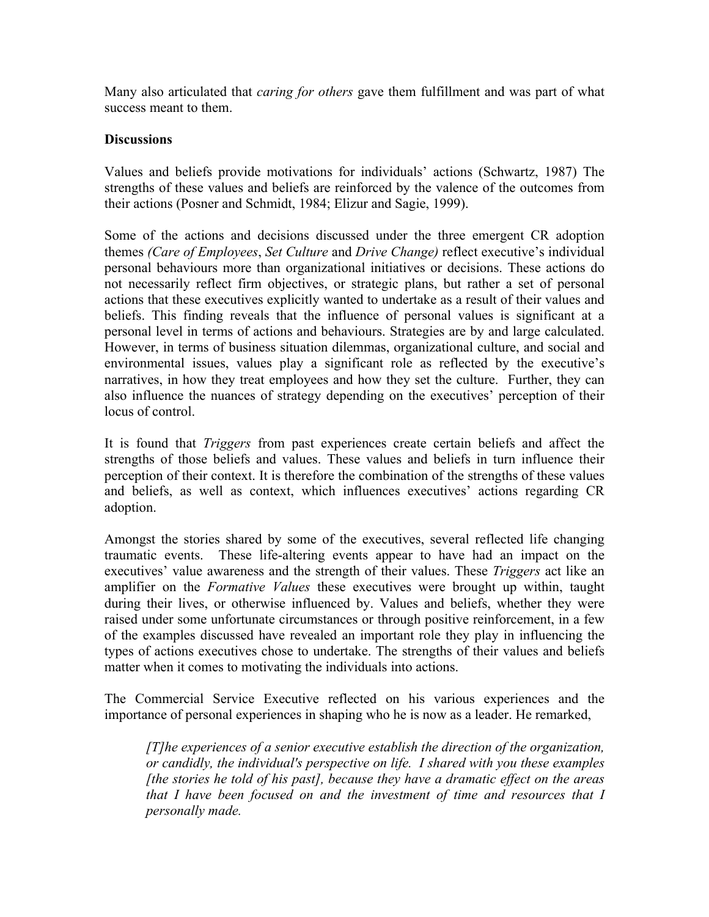Many also articulated that *caring for others* gave them fulfillment and was part of what success meant to them.

### **Discussions**

Values and beliefs provide motivations for individuals' actions (Schwartz, 1987) The strengths of these values and beliefs are reinforced by the valence of the outcomes from their actions (Posner and Schmidt, 1984; Elizur and Sagie, 1999).

Some of the actions and decisions discussed under the three emergent CR adoption themes *(Care of Employees*, *Set Culture* and *Drive Change)* reflect executive's individual personal behaviours more than organizational initiatives or decisions. These actions do not necessarily reflect firm objectives, or strategic plans, but rather a set of personal actions that these executives explicitly wanted to undertake as a result of their values and beliefs. This finding reveals that the influence of personal values is significant at a personal level in terms of actions and behaviours. Strategies are by and large calculated. However, in terms of business situation dilemmas, organizational culture, and social and environmental issues, values play a significant role as reflected by the executive's narratives, in how they treat employees and how they set the culture. Further, they can also influence the nuances of strategy depending on the executives' perception of their locus of control.

It is found that *Triggers* from past experiences create certain beliefs and affect the strengths of those beliefs and values. These values and beliefs in turn influence their perception of their context. It is therefore the combination of the strengths of these values and beliefs, as well as context, which influences executives' actions regarding CR adoption.

Amongst the stories shared by some of the executives, several reflected life changing traumatic events. These life-altering events appear to have had an impact on the executives' value awareness and the strength of their values. These *Triggers* act like an amplifier on the *Formative Values* these executives were brought up within, taught during their lives, or otherwise influenced by. Values and beliefs, whether they were raised under some unfortunate circumstances or through positive reinforcement, in a few of the examples discussed have revealed an important role they play in influencing the types of actions executives chose to undertake. The strengths of their values and beliefs matter when it comes to motivating the individuals into actions.

The Commercial Service Executive reflected on his various experiences and the importance of personal experiences in shaping who he is now as a leader. He remarked,

*[T]he experiences of a senior executive establish the direction of the organization, or candidly, the individual's perspective on life. I shared with you these examples [the stories he told of his past], because they have a dramatic effect on the areas that I have been focused on and the investment of time and resources that I personally made.*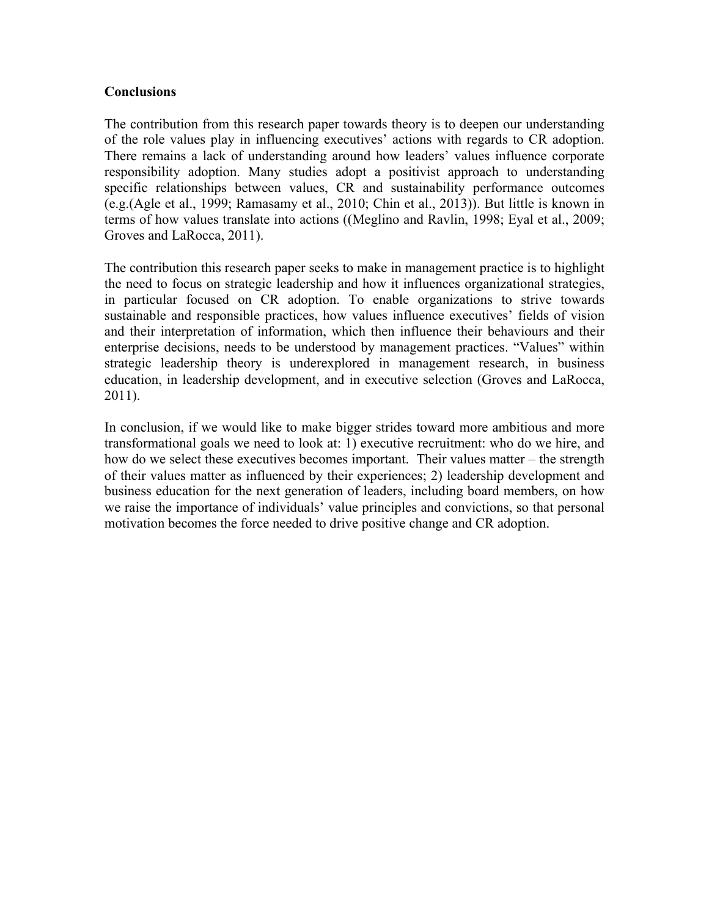### **Conclusions**

The contribution from this research paper towards theory is to deepen our understanding of the role values play in influencing executives' actions with regards to CR adoption. There remains a lack of understanding around how leaders' values influence corporate responsibility adoption. Many studies adopt a positivist approach to understanding specific relationships between values, CR and sustainability performance outcomes (e.g.(Agle et al., 1999; Ramasamy et al., 2010; Chin et al., 2013)). But little is known in terms of how values translate into actions ((Meglino and Ravlin, 1998; Eyal et al., 2009; Groves and LaRocca, 2011).

The contribution this research paper seeks to make in management practice is to highlight the need to focus on strategic leadership and how it influences organizational strategies, in particular focused on CR adoption. To enable organizations to strive towards sustainable and responsible practices, how values influence executives' fields of vision and their interpretation of information, which then influence their behaviours and their enterprise decisions, needs to be understood by management practices. "Values" within strategic leadership theory is underexplored in management research, in business education, in leadership development, and in executive selection (Groves and LaRocca, 2011).

In conclusion, if we would like to make bigger strides toward more ambitious and more transformational goals we need to look at: 1) executive recruitment: who do we hire, and how do we select these executives becomes important. Their values matter – the strength of their values matter as influenced by their experiences; 2) leadership development and business education for the next generation of leaders, including board members, on how we raise the importance of individuals' value principles and convictions, so that personal motivation becomes the force needed to drive positive change and CR adoption.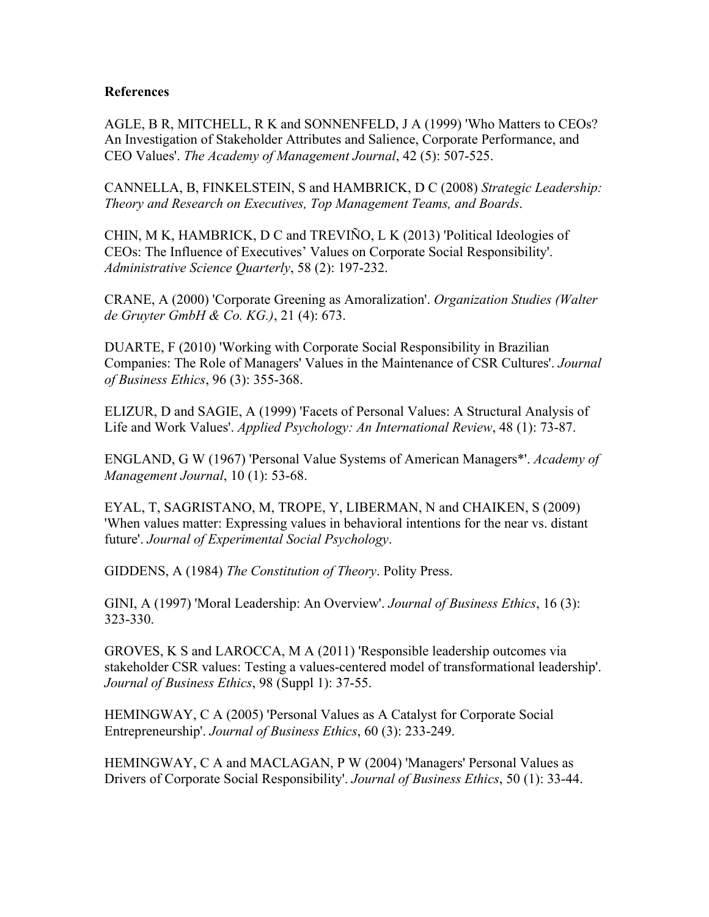#### **References**

AGLE, B R, MITCHELL, R K and SONNENFELD, J A (1999) 'Who Matters to CEOs? An Investigation of Stakeholder Attributes and Salience, Corporate Performance, and CEO Values'. *The Academy of Management Journal*, 42 (5): 507-525.

CANNELLA, B, FINKELSTEIN, S and HAMBRICK, D C (2008) *Strategic Leadership: Theory and Research on Executives, Top Management Teams, and Boards*.

CHIN, M K, HAMBRICK, D C and TREVIÑO, L K (2013) 'Political Ideologies of CEOs: The Influence of Executives' Values on Corporate Social Responsibility'. *Administrative Science Quarterly*, 58 (2): 197-232.

CRANE, A (2000) 'Corporate Greening as Amoralization'. *Organization Studies (Walter de Gruyter GmbH & Co. KG.)*, 21 (4): 673.

DUARTE, F (2010) 'Working with Corporate Social Responsibility in Brazilian Companies: The Role of Managers' Values in the Maintenance of CSR Cultures'. *Journal of Business Ethics*, 96 (3): 355-368.

ELIZUR, D and SAGIE, A (1999) 'Facets of Personal Values: A Structural Analysis of Life and Work Values'. *Applied Psychology: An International Review*, 48 (1): 73-87.

ENGLAND, G W (1967) 'Personal Value Systems of American Managers\*'. *Academy of Management Journal*, 10 (1): 53-68.

EYAL, T, SAGRISTANO, M, TROPE, Y, LIBERMAN, N and CHAIKEN, S (2009) 'When values matter: Expressing values in behavioral intentions for the near vs. distant future'. *Journal of Experimental Social Psychology*.

GIDDENS, A (1984) *The Constitution of Theory*. Polity Press.

GINI, A (1997) 'Moral Leadership: An Overview'. *Journal of Business Ethics*, 16 (3): 323-330.

GROVES, K S and LAROCCA, M A (2011) 'Responsible leadership outcomes via stakeholder CSR values: Testing a values-centered model of transformational leadership'. *Journal of Business Ethics*, 98 (Suppl 1): 37-55.

HEMINGWAY, C A (2005) 'Personal Values as A Catalyst for Corporate Social Entrepreneurship'. *Journal of Business Ethics*, 60 (3): 233-249.

HEMINGWAY, C A and MACLAGAN, P W (2004) 'Managers' Personal Values as Drivers of Corporate Social Responsibility'. *Journal of Business Ethics*, 50 (1): 33-44.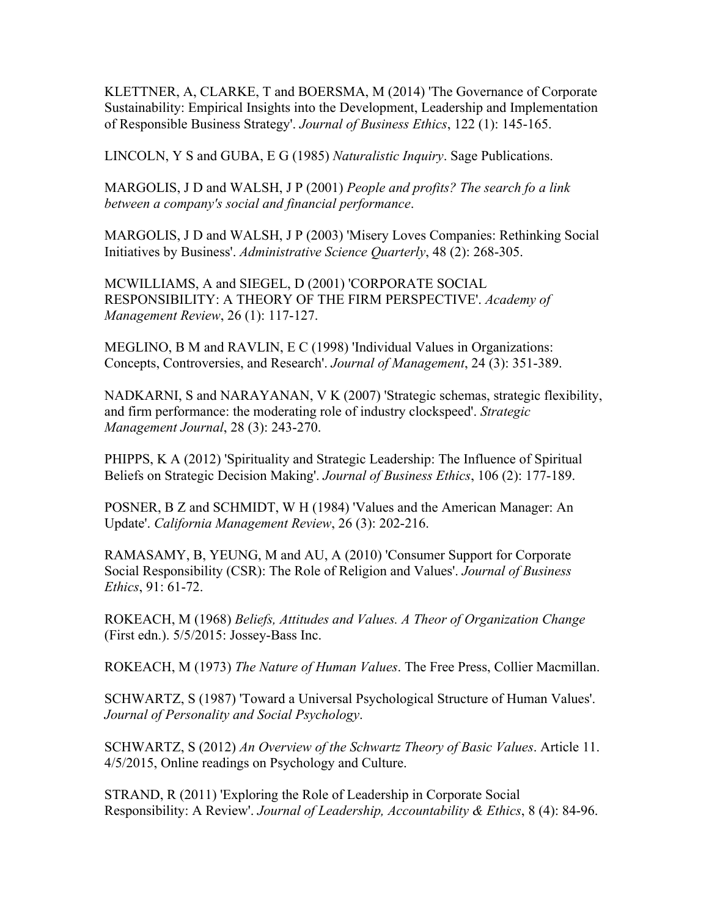KLETTNER, A, CLARKE, T and BOERSMA, M (2014) 'The Governance of Corporate Sustainability: Empirical Insights into the Development, Leadership and Implementation of Responsible Business Strategy'. *Journal of Business Ethics*, 122 (1): 145-165.

LINCOLN, Y S and GUBA, E G (1985) *Naturalistic Inquiry*. Sage Publications.

MARGOLIS, J D and WALSH, J P (2001) *People and profits? The search fo a link between a company's social and financial performance*.

MARGOLIS, J D and WALSH, J P (2003) 'Misery Loves Companies: Rethinking Social Initiatives by Business'. *Administrative Science Quarterly*, 48 (2): 268-305.

MCWILLIAMS, A and SIEGEL, D (2001) 'CORPORATE SOCIAL RESPONSIBILITY: A THEORY OF THE FIRM PERSPECTIVE'. *Academy of Management Review*, 26 (1): 117-127.

MEGLINO, B M and RAVLIN, E C (1998) 'Individual Values in Organizations: Concepts, Controversies, and Research'. *Journal of Management*, 24 (3): 351-389.

NADKARNI, S and NARAYANAN, V K (2007) 'Strategic schemas, strategic flexibility, and firm performance: the moderating role of industry clockspeed'. *Strategic Management Journal*, 28 (3): 243-270.

PHIPPS, K A (2012) 'Spirituality and Strategic Leadership: The Influence of Spiritual Beliefs on Strategic Decision Making'. *Journal of Business Ethics*, 106 (2): 177-189.

POSNER, B Z and SCHMIDT, W H (1984) 'Values and the American Manager: An Update'. *California Management Review*, 26 (3): 202-216.

RAMASAMY, B, YEUNG, M and AU, A (2010) 'Consumer Support for Corporate Social Responsibility (CSR): The Role of Religion and Values'. *Journal of Business Ethics*, 91: 61-72.

ROKEACH, M (1968) *Beliefs, Attitudes and Values. A Theor of Organization Change* (First edn.). 5/5/2015: Jossey-Bass Inc.

ROKEACH, M (1973) *The Nature of Human Values*. The Free Press, Collier Macmillan.

SCHWARTZ, S (1987) 'Toward a Universal Psychological Structure of Human Values'. *Journal of Personality and Social Psychology*.

SCHWARTZ, S (2012) *An Overview of the Schwartz Theory of Basic Values*. Article 11. 4/5/2015, Online readings on Psychology and Culture.

STRAND, R (2011) 'Exploring the Role of Leadership in Corporate Social Responsibility: A Review'. *Journal of Leadership, Accountability & Ethics*, 8 (4): 84-96.